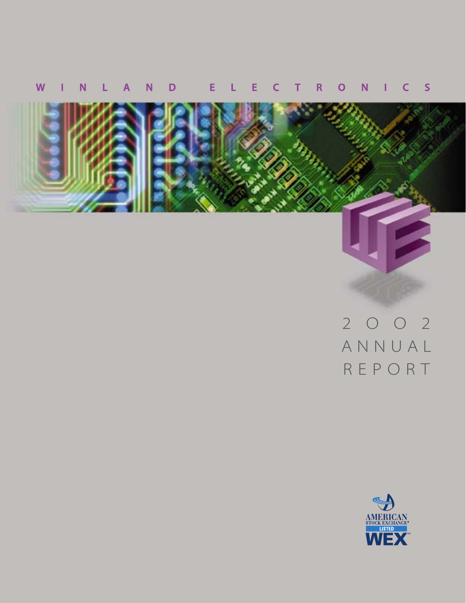## **WINLAND ELECTRONICS**



# 2OO2 ANNUAL REPORT

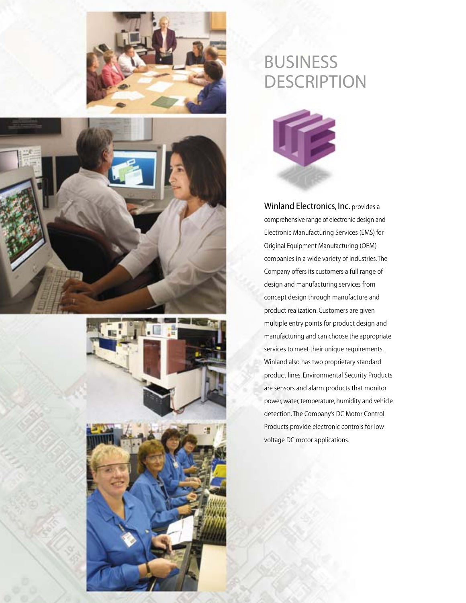







# BUSINESS **DESCRIPTION**



Winland Electronics, Inc. provides a comprehensive range of electronic design and Electronic Manufacturing Services (EMS) for Original Equipment Manufacturing (OEM) companies in a wide variety of industries. The Company offers its customers a full range of design and manufacturing services from concept design through manufacture and product realization. Customers are given multiple entry points for product design and manufacturing and can choose the appropriate services to meet their unique requirements. Winland also has two proprietary standard product lines. Environmental Security Products are sensors and alarm products that monitor power, water, temperature, humidity and vehicle detection. The Company's DC Motor Control Products provide electronic controls for low voltage DC motor applications.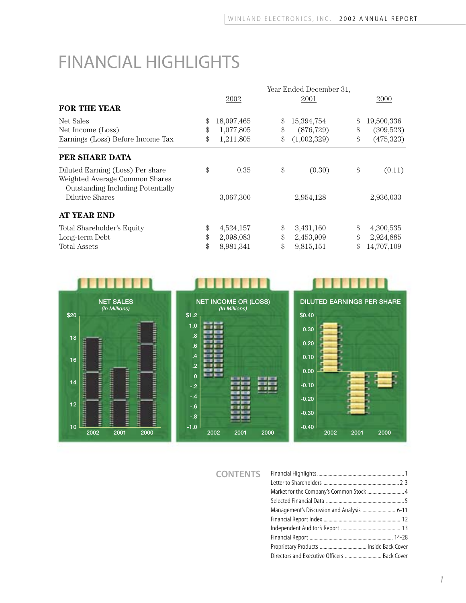# FINANCIAL HIGHLIGHTS

| Year Ended December 31, |             |    |            |  |
|-------------------------|-------------|----|------------|--|
|                         | 2001        |    | 2000       |  |
|                         |             |    |            |  |
| \$                      | 15,394,754  | \$ | 19,500,336 |  |
| \$                      | (876, 729)  | \$ | (309,523)  |  |
| \$                      | (1,002,329) | \$ | (475,323)  |  |
|                         |             |    |            |  |
| \$                      | (0.30)      | \$ | (0.11)     |  |
|                         |             |    |            |  |
|                         | 2,954,128   |    | 2,936,033  |  |
|                         |             |    |            |  |
| \$                      | 3,431,160   | \$ | 4,300,535  |  |
| \$                      | 2,453,909   | \$ | 2,924,885  |  |
| $\mathcal{S}$           | 9,815,151   | \$ | 14,707,109 |  |
|                         |             |    |            |  |



**CONTENTS**

| Market for the Company's Common Stock  4     |  |
|----------------------------------------------|--|
|                                              |  |
| Management's Discussion and Analysis  6-11   |  |
|                                              |  |
|                                              |  |
|                                              |  |
|                                              |  |
| Directors and Executive Officers  Back Cover |  |

n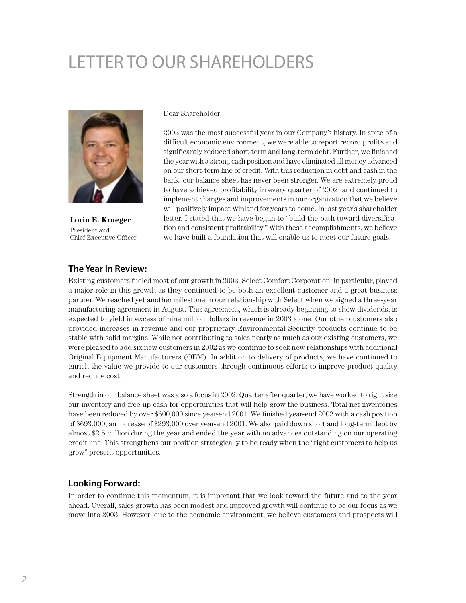# LETTER TO OUR SHAREHOLDERS



**Lorin E. Krueger** President and Chief Executive Officer

Dear Shareholder,

2002 was the most successful year in our Company's history. In spite of a difficult economic environment, we were able to report record profits and significantly reduced short-term and long-term debt. Further, we finished the year with a strong cash position and have eliminated all money advanced on our short-term line of credit. With this reduction in debt and cash in the bank, our balance sheet has never been stronger. We are extremely proud to have achieved profitability in every quarter of 2002, and continued to implement changes and improvements in our organization that we believe will positively impact Winland for years to come. In last year's shareholder letter, I stated that we have begun to "build the path toward diversification and consistent profitability." With these accomplishments, we believe we have built a foundation that will enable us to meet our future goals.

#### **The Year In Review:**

Existing customers fueled most of our growth in 2002. Select Comfort Corporation, in particular, played a major role in this growth as they continued to be both an excellent customer and a great business partner. We reached yet another milestone in our relationship with Select when we signed a three-year manufacturing agreement in August. This agreement, which is already beginning to show dividends, is expected to yield in excess of nine million dollars in revenue in 2003 alone. Our other customers also provided increases in revenue and our proprietary Environmental Security products continue to be stable with solid margins. While not contributing to sales nearly as much as our existing customers, we were pleased to add six new customers in 2002 as we continue to seek new relationships with additional Original Equipment Manufacturers (OEM). In addition to delivery of products, we have continued to enrich the value we provide to our customers through continuous efforts to improve product quality and reduce cost.

Strength in our balance sheet was also a focus in 2002. Quarter after quarter, we have worked to right size our inventory and free up cash for opportunities that will help grow the business. Total net inventories have been reduced by over \$600,000 since year-end 2001. We finished year-end 2002 with a cash position of \$693,000, an increase of \$293,000 over year-end 2001. We also paid down short and long-term debt by almost \$2.5 million during the year and ended the year with no advances outstanding on our operating credit line. This strengthens our position strategically to be ready when the "right customers to help us grow" present opportunities.

#### **Looking Forward:**

In order to continue this momentum, it is important that we look toward the future and to the year ahead. Overall, sales growth has been modest and improved growth will continue to be our focus as we move into 2003. However, due to the economic environment, we believe customers and prospects will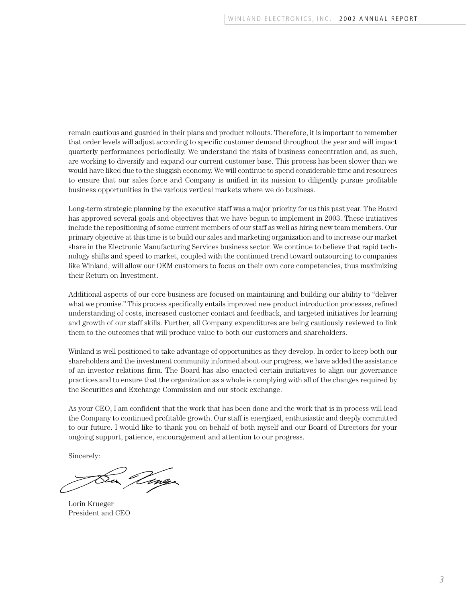remain cautious and guarded in their plans and product rollouts. Therefore, it is important to remember that order levels will adjust according to specific customer demand throughout the year and will impact quarterly performances periodically. We understand the risks of business concentration and, as such, are working to diversify and expand our current customer base. This process has been slower than we would have liked due to the sluggish economy. We will continue to spend considerable time and resources to ensure that our sales force and Company is unified in its mission to diligently pursue profitable business opportunities in the various vertical markets where we do business.

Long-term strategic planning by the executive staff was a major priority for us this past year. The Board has approved several goals and objectives that we have begun to implement in 2003. These initiatives include the repositioning of some current members of our staff as well as hiring new team members. Our primary objective at this time is to build our sales and marketing organization and to increase our market share in the Electronic Manufacturing Services business sector. We continue to believe that rapid technology shifts and speed to market, coupled with the continued trend toward outsourcing to companies like Winland, will allow our OEM customers to focus on their own core competencies, thus maximizing their Return on Investment.

Additional aspects of our core business are focused on maintaining and building our ability to "deliver what we promise." This process specifically entails improved new product introduction processes, refined understanding of costs, increased customer contact and feedback, and targeted initiatives for learning and growth of our staff skills. Further, all Company expenditures are being cautiously reviewed to link them to the outcomes that will produce value to both our customers and shareholders.

Winland is well positioned to take advantage of opportunities as they develop. In order to keep both our shareholders and the investment community informed about our progress, we have added the assistance of an investor relations firm. The Board has also enacted certain initiatives to align our governance practices and to ensure that the organization as a whole is complying with all of the changes required by the Securities and Exchange Commission and our stock exchange.

As your CEO, I am confident that the work that has been done and the work that is in process will lead the Company to continued profitable growth. Our staff is energized, enthusiastic and deeply committed to our future. I would like to thank you on behalf of both myself and our Board of Directors for your ongoing support, patience, encouragement and attention to our progress.

Sincerely:

Lorin Krueger President and CEO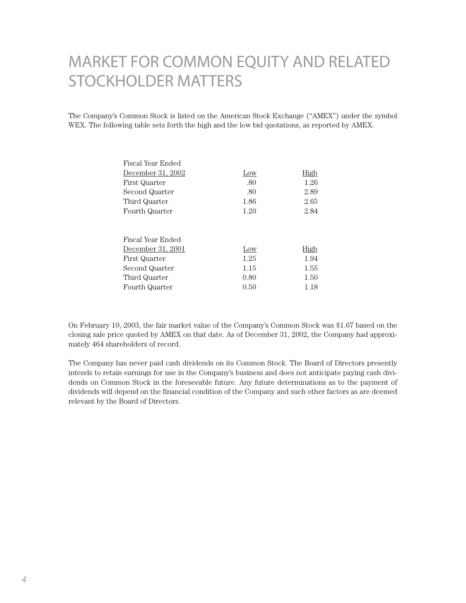## MARKET FOR COMMON EQUITY AND RELATED STOCKHOLDER MATTERS

The Company's Common Stock is listed on the American Stock Exchange ("AMEX") under the symbol WEX. The following table sets forth the high and the low bid quotations, as reported by AMEX.

| Fiscal Year Ended |      |             |
|-------------------|------|-------------|
| December 31, 2002 | Low  | <u>High</u> |
| First Quarter     | .80  | 1.26        |
| Second Quarter    | .80  | 2.89        |
| Third Quarter     | 1.86 | 2.65        |
| Fourth Quarter    | 1.20 | 2.84        |
|                   |      |             |
| Fiscal Year Ended |      |             |
| December 31, 2001 | Low  | High        |
| First Quarter     | 1.25 | 1.94        |
| Second Quarter    | 1.15 | 1.55        |
| Third Quarter     | 0.80 | 1.50        |
| Fourth Quarter    | 0.50 | 1.18        |

On February 10, 2003, the fair market value of the Company's Common Stock was \$1.67 based on the closing sale price quoted by AMEX on that date. As of December 31, 2002, the Company had approximately 464 shareholders of record.

The Company has never paid cash dividends on its Common Stock. The Board of Directors presently intends to retain earnings for use in the Company's business and does not anticipate paying cash dividends on Common Stock in the foreseeable future. Any future determinations as to the payment of dividends will depend on the financial condition of the Company and such other factors as are deemed relevant by the Board of Directors.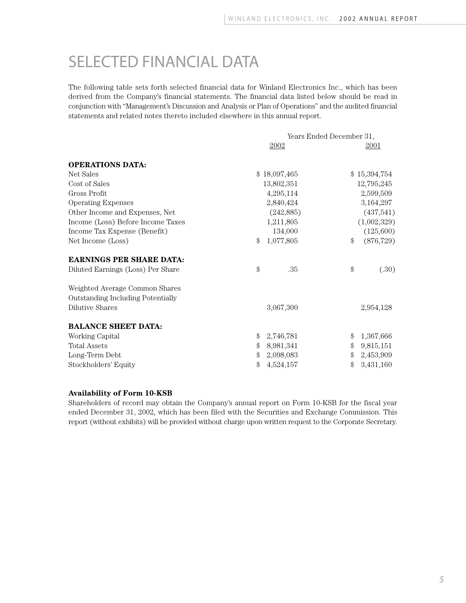## SELECTED FINANCIAL DATA

The following table sets forth selected financial data for Winland Electronics Inc., which has been derived from the Company's financial statements. The financial data listed below should be read in conjunction with "Management's Discussion and Analysis or Plan of Operations" and the audited financial statements and related notes thereto included elsewhere in this annual report.

| Years Ended December 31, |            |                            |              |
|--------------------------|------------|----------------------------|--------------|
|                          | 2002       |                            | 2001         |
|                          |            |                            |              |
|                          |            |                            | \$15,394,754 |
|                          |            |                            | 12,795,245   |
|                          | 4,295,114  |                            | 2,599,509    |
|                          | 2,840,424  |                            | 3,164,297    |
|                          | (242, 885) |                            | (437,541)    |
|                          | 1,211,805  |                            | (1,002,329)  |
|                          | 134,000    |                            | (125,600)    |
| \$                       | 1,077,805  | \$                         | (876, 729)   |
|                          |            |                            |              |
| \$                       | .35        | \$                         | (.30)        |
|                          |            |                            |              |
|                          | 3,067,300  |                            | 2,954,128    |
|                          |            |                            |              |
| \$                       | 2,746,781  | \$                         | 1,367,666    |
| \$                       | 8,981,341  | \$                         | 9,815,151    |
| \$                       | 2,098,083  | \$                         | 2,453,909    |
| \$                       | 4,524,157  | \$                         | 3,431,160    |
|                          |            | \$18,097,465<br>13,802,351 |              |

#### **Availability of Form 10-KSB**

Shareholders of record may obtain the Company's annual report on Form 10-KSB for the fiscal year ended December 31, 2002, which has been filed with the Securities and Exchange Commission. This report (without exhibits) will be provided without charge upon written request to the Corporate Secretary.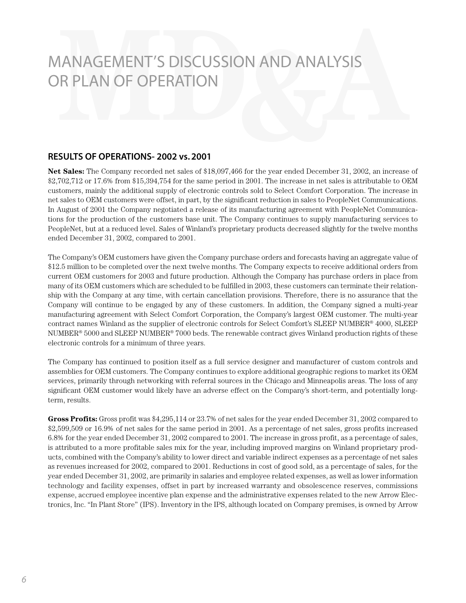#### **RESULTS OF OPERATIONS- 2002 vs. 2001**

**Net Sales:** The Company recorded net sales of \$18,097,466 for the year ended December 31, 2002, an increase of \$2,702,712 or 17.6% from \$15,394,754 for the same period in 2001. The increase in net sales is attributable to OEM customers, mainly the additional supply of electronic controls sold to Select Comfort Corporation. The increase in net sales to OEM customers were offset, in part, by the significant reduction in sales to PeopleNet Communications. In August of 2001 the Company negotiated a release of its manufacturing agreement with PeopleNet Communications for the production of the customers base unit. The Company continues to supply manufacturing services to PeopleNet, but at a reduced level. Sales of Winland's proprietary products decreased slightly for the twelve months ended December 31, 2002, compared to 2001.

The Company's OEM customers have given the Company purchase orders and forecasts having an aggregate value of \$12.5 million to be completed over the next twelve months. The Company expects to receive additional orders from current OEM customers for 2003 and future production. Although the Company has purchase orders in place from many of its OEM customers which are scheduled to be fulfilled in 2003, these customers can terminate their relationship with the Company at any time, with certain cancellation provisions. Therefore, there is no assurance that the Company will continue to be engaged by any of these customers. In addition, the Company signed a multi-year manufacturing agreement with Select Comfort Corporation, the Company's largest OEM customer. The multi-year contract names Winland as the supplier of electronic controls for Select Comfort's SLEEP NUMBER® 4000, SLEEP NUMBER® 5000 and SLEEP NUMBER® 7000 beds. The renewable contract gives Winland production rights of these electronic controls for a minimum of three years.

The Company has continued to position itself as a full service designer and manufacturer of custom controls and assemblies for OEM customers. The Company continues to explore additional geographic regions to market its OEM services, primarily through networking with referral sources in the Chicago and Minneapolis areas. The loss of any significant OEM customer would likely have an adverse effect on the Company's short-term, and potentially longterm, results.

**Gross Profits:** Gross profit was \$4,295,114 or 23.7% of net sales for the year ended December 31, 2002 compared to \$2,599,509 or 16.9% of net sales for the same period in 2001. As a percentage of net sales, gross profits increased 6.8% for the year ended December 31, 2002 compared to 2001. The increase in gross profit, as a percentage of sales, is attributed to a more profitable sales mix for the year, including improved margins on Winland proprietary products, combined with the Company's ability to lower direct and variable indirect expenses as a percentage of net sales as revenues increased for 2002, compared to 2001. Reductions in cost of good sold, as a percentage of sales, for the year ended December 31, 2002, are primarily in salaries and employee related expenses, as well as lower information technology and facility expenses, offset in part by increased warranty and obsolescence reserves, commissions expense, accrued employee incentive plan expense and the administrative expenses related to the new Arrow Electronics, Inc. "In Plant Store" (IPS). Inventory in the IPS, although located on Company premises, is owned by Arrow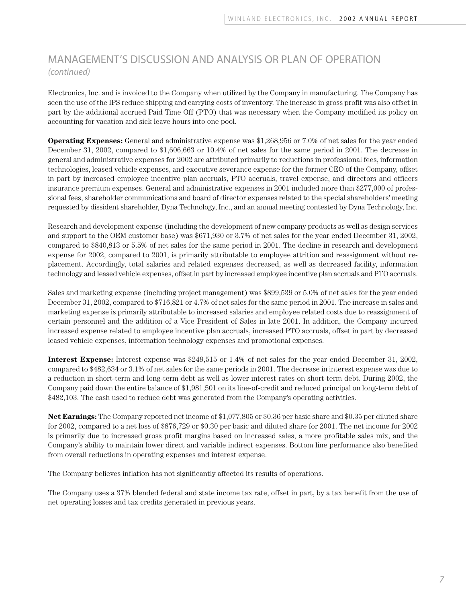Electronics, Inc. and is invoiced to the Company when utilized by the Company in manufacturing. The Company has seen the use of the IPS reduce shipping and carrying costs of inventory. The increase in gross profit was also offset in part by the additional accrued Paid Time Off (PTO) that was necessary when the Company modified its policy on accounting for vacation and sick leave hours into one pool.

**Operating Expenses:** General and administrative expense was \$1,268,956 or 7.0% of net sales for the year ended December 31, 2002, compared to \$1,606,663 or 10.4% of net sales for the same period in 2001. The decrease in general and administrative expenses for 2002 are attributed primarily to reductions in professional fees, information technologies, leased vehicle expenses, and executive severance expense for the former CEO of the Company, offset in part by increased employee incentive plan accruals, PTO accruals, travel expense, and directors and officers insurance premium expenses. General and administrative expenses in 2001 included more than \$277,000 of professional fees, shareholder communications and board of director expenses related to the special shareholders' meeting requested by dissident shareholder, Dyna Technology, Inc., and an annual meeting contested by Dyna Technology, Inc.

Research and development expense (including the development of new company products as well as design services and support to the OEM customer base) was \$671,930 or 3.7% of net sales for the year ended December 31, 2002, compared to \$840,813 or 5.5% of net sales for the same period in 2001. The decline in research and development expense for 2002, compared to 2001, is primarily attributable to employee attrition and reassignment without replacement. Accordingly, total salaries and related expenses decreased, as well as decreased facility, information technology and leased vehicle expenses, offset in part by increased employee incentive plan accruals and PTO accruals.

Sales and marketing expense (including project management) was \$899,539 or 5.0% of net sales for the year ended December 31, 2002, compared to \$716,821 or 4.7% of net sales for the same period in 2001. The increase in sales and marketing expense is primarily attributable to increased salaries and employee related costs due to reassignment of certain personnel and the addition of a Vice President of Sales in late 2001. In addition, the Company incurred increased expense related to employee incentive plan accruals, increased PTO accruals, offset in part by decreased leased vehicle expenses, information technology expenses and promotional expenses.

**Interest Expense:** Interest expense was \$249,515 or 1.4% of net sales for the year ended December 31, 2002, compared to \$482,634 or 3.1% of net sales for the same periods in 2001. The decrease in interest expense was due to a reduction in short-term and long-term debt as well as lower interest rates on short-term debt. During 2002, the Company paid down the entire balance of \$1,981,501 on its line-of-credit and reduced principal on long-term debt of \$482,103. The cash used to reduce debt was generated from the Company's operating activities.

**Net Earnings:** The Company reported net income of \$1,077,805 or \$0.36 per basic share and \$0.35 per diluted share for 2002, compared to a net loss of \$876,729 or \$0.30 per basic and diluted share for 2001. The net income for 2002 is primarily due to increased gross profit margins based on increased sales, a more profitable sales mix, and the Company's ability to maintain lower direct and variable indirect expenses. Bottom line performance also benefited from overall reductions in operating expenses and interest expense.

The Company believes inflation has not significantly affected its results of operations.

The Company uses a 37% blended federal and state income tax rate, offset in part, by a tax benefit from the use of net operating losses and tax credits generated in previous years.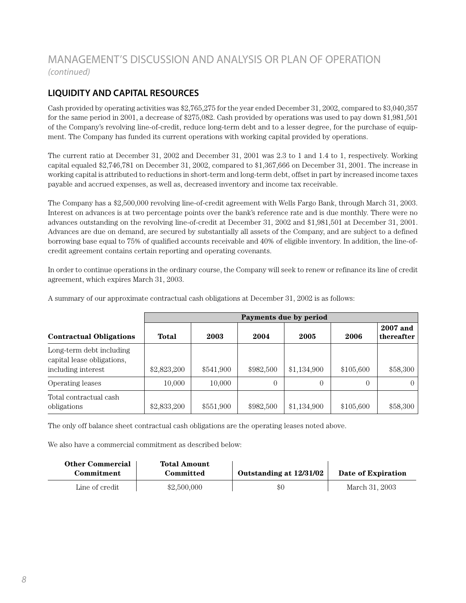## **LIQUIDITY AND CAPITAL RESOURCES**

Cash provided by operating activities was \$2,765,275 for the year ended December 31, 2002, compared to \$3,040,357 for the same period in 2001, a decrease of \$275,082. Cash provided by operations was used to pay down \$1,981,501 of the Company's revolving line-of-credit, reduce long-term debt and to a lesser degree, for the purchase of equipment. The Company has funded its current operations with working capital provided by operations.

The current ratio at December 31, 2002 and December 31, 2001 was 2.3 to 1 and 1.4 to 1, respectively. Working capital equaled \$2,746,781 on December 31, 2002, compared to \$1,367,666 on December 31, 2001. The increase in working capital is attributed to reductions in short-term and long-term debt, offset in part by increased income taxes payable and accrued expenses, as well as, decreased inventory and income tax receivable.

The Company has a \$2,500,000 revolving line-of-credit agreement with Wells Fargo Bank, through March 31, 2003. Interest on advances is at two percentage points over the bank's reference rate and is due monthly. There were no advances outstanding on the revolving line-of-credit at December 31, 2002 and \$1,981,501 at December 31, 2001. Advances are due on demand, are secured by substantially all assets of the Company, and are subject to a defined borrowing base equal to 75% of qualified accounts receivable and 40% of eligible inventory. In addition, the line-ofcredit agreement contains certain reporting and operating covenants.

In order to continue operations in the ordinary course, the Company will seek to renew or refinance its line of credit agreement, which expires March 31, 2003.

|                                                                              | Payments due by period |           |           |             |           |                        |
|------------------------------------------------------------------------------|------------------------|-----------|-----------|-------------|-----------|------------------------|
| <b>Contractual Obligations</b>                                               | Total                  | 2003      | 2004      | 2005        | 2006      | 2007 and<br>thereafter |
| Long-term debt including<br>capital lease obligations,<br>including interest | \$2,823,200            | \$541,900 | \$982,500 | \$1,134,900 | \$105,600 | \$58,300               |
| Operating leases                                                             | 10,000                 | 10,000    | $\Omega$  | 0           | 0         |                        |
| Total contractual cash<br>obligations                                        | \$2,833,200            | \$551,900 | \$982,500 | \$1,134,900 | \$105,600 | \$58,300               |

A summary of our approximate contractual cash obligations at December 31, 2002 is as follows:

The only off balance sheet contractual cash obligations are the operating leases noted above.

We also have a commercial commitment as described below:

| Other Commercial<br>Commitment | Total Amount<br>Committed | Outstanding at 12/31/02 | Date of Expiration |
|--------------------------------|---------------------------|-------------------------|--------------------|
|                                |                           |                         |                    |
| Line of credit                 | \$2,500,000               | \$0                     | March 31, 2003     |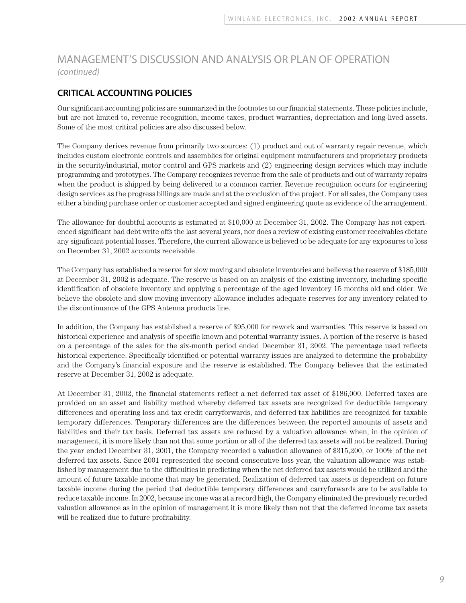### **CRITICAL ACCOUNTING POLICIES**

Our significant accounting policies are summarized in the footnotes to our financial statements. These policies include, but are not limited to, revenue recognition, income taxes, product warranties, depreciation and long-lived assets. Some of the most critical policies are also discussed below.

The Company derives revenue from primarily two sources: (1) product and out of warranty repair revenue, which includes custom electronic controls and assemblies for original equipment manufacturers and proprietary products in the security/industrial, motor control and GPS markets and (2) engineering design services which may include programming and prototypes. The Company recognizes revenue from the sale of products and out of warranty repairs when the product is shipped by being delivered to a common carrier. Revenue recognition occurs for engineering design services as the progress billings are made and at the conclusion of the project. For all sales, the Company uses either a binding purchase order or customer accepted and signed engineering quote as evidence of the arrangement.

The allowance for doubtful accounts is estimated at \$10,000 at December 31, 2002. The Company has not experienced significant bad debt write offs the last several years, nor does a review of existing customer receivables dictate any significant potential losses. Therefore, the current allowance is believed to be adequate for any exposures to loss on December 31, 2002 accounts receivable.

The Company has established a reserve for slow moving and obsolete inventories and believes the reserve of \$185,000 at December 31, 2002 is adequate. The reserve is based on an analysis of the existing inventory, including specific identification of obsolete inventory and applying a percentage of the aged inventory 15 months old and older. We believe the obsolete and slow moving inventory allowance includes adequate reserves for any inventory related to the discontinuance of the GPS Antenna products line.

In addition, the Company has established a reserve of \$95,000 for rework and warranties. This reserve is based on historical experience and analysis of specific known and potential warranty issues. A portion of the reserve is based on a percentage of the sales for the six-month period ended December 31, 2002. The percentage used reflects historical experience. Specifically identified or potential warranty issues are analyzed to determine the probability and the Company's financial exposure and the reserve is established. The Company believes that the estimated reserve at December 31, 2002 is adequate.

At December 31, 2002, the financial statements reflect a net deferred tax asset of \$186,000. Deferred taxes are provided on an asset and liability method whereby deferred tax assets are recognized for deductible temporary differences and operating loss and tax credit carryforwards, and deferred tax liabilities are recognized for taxable temporary differences. Temporary differences are the differences between the reported amounts of assets and liabilities and their tax basis. Deferred tax assets are reduced by a valuation allowance when, in the opinion of management, it is more likely than not that some portion or all of the deferred tax assets will not be realized. During the year ended December 31, 2001, the Company recorded a valuation allowance of \$315,200, or 100% of the net deferred tax assets. Since 2001 represented the second consecutive loss year, the valuation allowance was established by management due to the difficulties in predicting when the net deferred tax assets would be utilized and the amount of future taxable income that may be generated. Realization of deferred tax assets is dependent on future taxable income during the period that deductible temporary differences and carryforwards are to be available to reduce taxable income. In 2002, because income was at a record high, the Company eliminated the previously recorded valuation allowance as in the opinion of management it is more likely than not that the deferred income tax assets will be realized due to future profitability.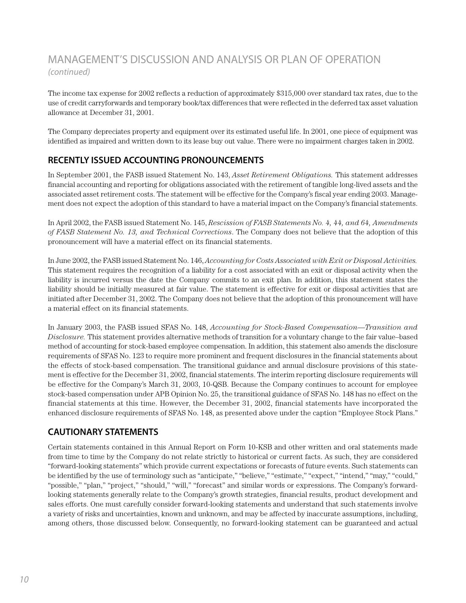The income tax expense for 2002 reflects a reduction of approximately \$315,000 over standard tax rates, due to the use of credit carryforwards and temporary book/tax differences that were reflected in the deferred tax asset valuation allowance at December 31, 2001.

The Company depreciates property and equipment over its estimated useful life. In 2001, one piece of equipment was identified as impaired and written down to its lease buy out value. There were no impairment charges taken in 2002.

### **RECENTLY ISSUED ACCOUNTING PRONOUNCEMENTS**

In September 2001, the FASB issued Statement No. 143, *Asset Retirement Obligations.* This statement addresses financial accounting and reporting for obligations associated with the retirement of tangible long-lived assets and the associated asset retirement costs. The statement will be effective for the Company's fiscal year ending 2003. Management does not expect the adoption of this standard to have a material impact on the Company's financial statements.

In April 2002, the FASB issued Statement No. 145, *Rescission of FASB Statements No. 4, 44, and 64, Amendments of FASB Statement No. 13, and Technical Corrections*. The Company does not believe that the adoption of this pronouncement will have a material effect on its financial statements.

In June 2002, the FASB issued Statement No. 146, *Accounting for Costs Associated with Exit or Disposal Activities.* This statement requires the recognition of a liability for a cost associated with an exit or disposal activity when the liability is incurred versus the date the Company commits to an exit plan. In addition, this statement states the liability should be initially measured at fair value. The statement is effective for exit or disposal activities that are initiated after December 31, 2002. The Company does not believe that the adoption of this pronouncement will have a material effect on its financial statements.

In January 2003, the FASB issued SFAS No. 148, *Accounting for Stock-Based Compensation—Transition and Disclosure.* This statement provides alternative methods of transition for a voluntary change to the fair value–based method of accounting for stock-based employee compensation. In addition, this statement also amends the disclosure requirements of SFAS No. 123 to require more prominent and frequent disclosures in the financial statements about the effects of stock-based compensation. The transitional guidance and annual disclosure provisions of this statement is effective for the December 31, 2002, financial statements. The interim reporting disclosure requirements will be effective for the Company's March 31, 2003, 10-QSB. Because the Company continues to account for employee stock-based compensation under APB Opinion No. 25, the transitional guidance of SFAS No. 148 has no effect on the financial statements at this time. However, the December 31, 2002, financial statements have incorporated the enhanced disclosure requirements of SFAS No. 148, as presented above under the caption "Employee Stock Plans."

### **CAUTIONARY STATEMENTS**

Certain statements contained in this Annual Report on Form 10-KSB and other written and oral statements made from time to time by the Company do not relate strictly to historical or current facts. As such, they are considered "forward-looking statements" which provide current expectations or forecasts of future events. Such statements can be identified by the use of terminology such as "anticipate," "believe," "estimate," "expect," "intend," "may," "could," "possible," "plan," "project," "should," "will," "forecast" and similar words or expressions. The Company's forwardlooking statements generally relate to the Company's growth strategies, financial results, product development and sales efforts. One must carefully consider forward-looking statements and understand that such statements involve a variety of risks and uncertainties, known and unknown, and may be affected by inaccurate assumptions, including, among others, those discussed below. Consequently, no forward-looking statement can be guaranteed and actual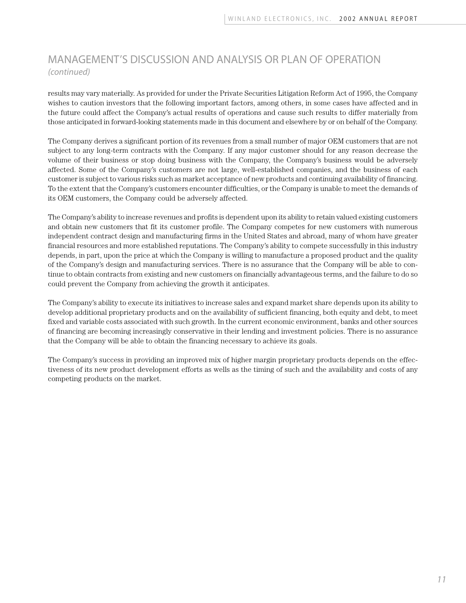results may vary materially. As provided for under the Private Securities Litigation Reform Act of 1995, the Company wishes to caution investors that the following important factors, among others, in some cases have affected and in the future could affect the Company's actual results of operations and cause such results to differ materially from those anticipated in forward-looking statements made in this document and elsewhere by or on behalf of the Company.

The Company derives a significant portion of its revenues from a small number of major OEM customers that are not subject to any long-term contracts with the Company. If any major customer should for any reason decrease the volume of their business or stop doing business with the Company, the Company's business would be adversely affected. Some of the Company's customers are not large, well-established companies, and the business of each customer is subject to various risks such as market acceptance of new products and continuing availability of financing. To the extent that the Company's customers encounter difficulties, or the Company is unable to meet the demands of its OEM customers, the Company could be adversely affected.

The Company's ability to increase revenues and profits is dependent upon its ability to retain valued existing customers and obtain new customers that fit its customer profile. The Company competes for new customers with numerous independent contract design and manufacturing firms in the United States and abroad, many of whom have greater financial resources and more established reputations. The Company's ability to compete successfully in this industry depends, in part, upon the price at which the Company is willing to manufacture a proposed product and the quality of the Company's design and manufacturing services. There is no assurance that the Company will be able to continue to obtain contracts from existing and new customers on financially advantageous terms, and the failure to do so could prevent the Company from achieving the growth it anticipates.

The Company's ability to execute its initiatives to increase sales and expand market share depends upon its ability to develop additional proprietary products and on the availability of sufficient financing, both equity and debt, to meet fixed and variable costs associated with such growth. In the current economic environment, banks and other sources of financing are becoming increasingly conservative in their lending and investment policies. There is no assurance that the Company will be able to obtain the financing necessary to achieve its goals.

The Company's success in providing an improved mix of higher margin proprietary products depends on the effectiveness of its new product development efforts as wells as the timing of such and the availability and costs of any competing products on the market.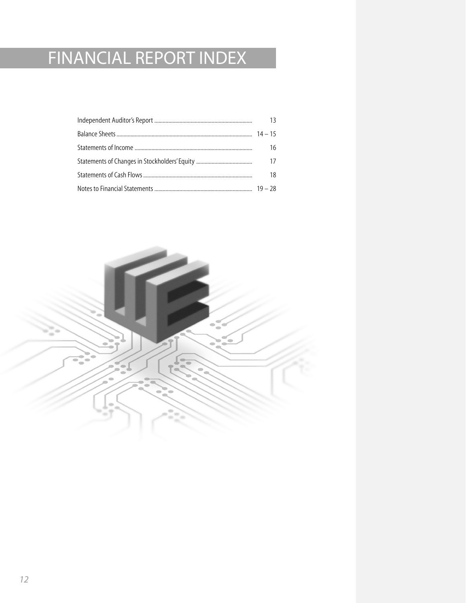# FINANCIAL REPORT INDEX

| 13 |
|----|
|    |
| 16 |
| 17 |
| 18 |
|    |

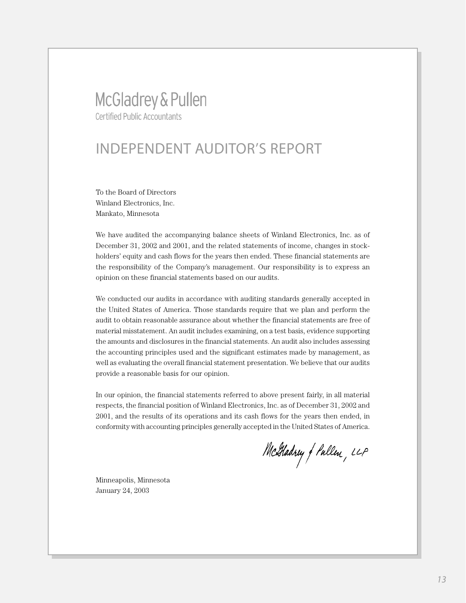## McGladrey & Pullen **Certified Public Accountants**

## INDEPENDENT AUDITOR'S REPORT

To the Board of Directors Winland Electronics, Inc. Mankato, Minnesota

We have audited the accompanying balance sheets of Winland Electronics, Inc. as of December 31, 2002 and 2001, and the related statements of income, changes in stockholders' equity and cash flows for the years then ended. These financial statements are the responsibility of the Company's management. Our responsibility is to express an opinion on these financial statements based on our audits.

We conducted our audits in accordance with auditing standards generally accepted in the United States of America. Those standards require that we plan and perform the audit to obtain reasonable assurance about whether the financial statements are free of material misstatement. An audit includes examining, on a test basis, evidence supporting the amounts and disclosures in the financial statements. An audit also includes assessing the accounting principles used and the significant estimates made by management, as well as evaluating the overall financial statement presentation. We believe that our audits provide a reasonable basis for our opinion.

In our opinion, the financial statements referred to above present fairly, in all material respects, the financial position of Winland Electronics, Inc. as of December 31, 2002 and 2001, and the results of its operations and its cash flows for the years then ended, in conformity with accounting principles generally accepted in the United States of America.

McGladrey f Pullen, LLP

Minneapolis, Minnesota January 24, 2003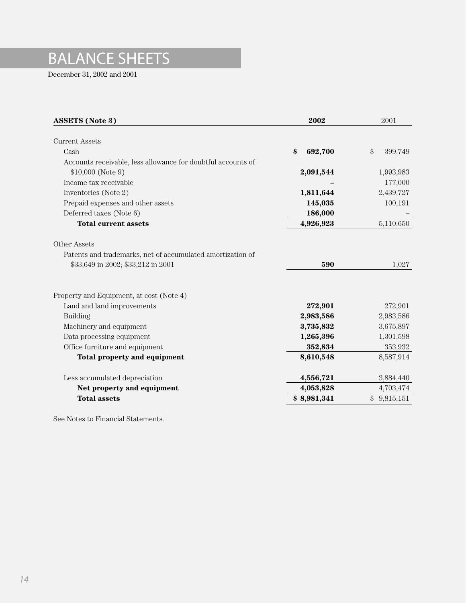# BALANCE SHEETS

December 31, 2002 and 2001

| <b>ASSETS</b> (Note 3)                                       | 2002          | 2001          |
|--------------------------------------------------------------|---------------|---------------|
|                                                              |               |               |
| <b>Current Assets</b>                                        |               |               |
| Cash                                                         | \$<br>692,700 | \$<br>399,749 |
| Accounts receivable, less allowance for doubtful accounts of |               |               |
| $$10,000$ (Note 9)                                           | 2,091,544     | 1,993,983     |
| Income tax receivable                                        |               | 177,000       |
| Inventories (Note 2)                                         | 1,811,644     | 2,439,727     |
| Prepaid expenses and other assets                            | 145,035       | 100,191       |
| Deferred taxes (Note 6)                                      | 186,000       |               |
| <b>Total current assets</b>                                  | 4,926,923     | 5,110,650     |
| Other Assets                                                 |               |               |
| Patents and trademarks, net of accumulated amortization of   |               |               |
| \$33,649 in 2002; \$33,212 in 2001                           | 590           | 1,027         |
|                                                              |               |               |
| Property and Equipment, at cost (Note 4)                     |               |               |
| Land and land improvements                                   | 272,901       | 272,901       |
| <b>Building</b>                                              | 2,983,586     | 2,983,586     |
| Machinery and equipment                                      | 3,735,832     | 3,675,897     |
| Data processing equipment                                    | 1,265,396     | 1,301,598     |
| Office furniture and equipment                               | 352,834       | 353,932       |
| Total property and equipment                                 | 8,610,548     | 8,587,914     |
| Less accumulated depreciation                                | 4,556,721     | 3,884,440     |
| Net property and equipment                                   | 4,053,828     | 4,703,474     |
| <b>Total assets</b>                                          | \$8,981,341   | \$9,815,151   |
|                                                              |               |               |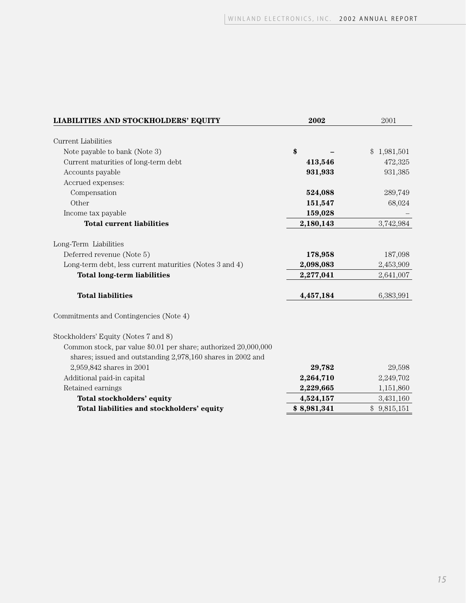| LIABILITIES AND STOCKHOLDERS' EQUITY                            | 2002        | 2001                       |
|-----------------------------------------------------------------|-------------|----------------------------|
|                                                                 |             |                            |
| <b>Current Liabilities</b>                                      |             |                            |
| Note payable to bank (Note 3)                                   | \$          | 1,981,501<br>$\mathcal{S}$ |
| Current maturities of long-term debt                            | 413,546     | 472,325                    |
| Accounts payable                                                | 931,933     | 931,385                    |
| Accrued expenses:                                               |             |                            |
| Compensation                                                    | 524,088     | 289,749                    |
| Other                                                           | 151,547     | 68,024                     |
| Income tax payable                                              | 159,028     |                            |
| <b>Total current liabilities</b>                                | 2,180,143   | 3,742,984                  |
|                                                                 |             |                            |
| Long-Term Liabilities                                           |             |                            |
| Deferred revenue (Note 5)                                       | 178,958     | 187,098                    |
| Long-term debt, less current maturities (Notes 3 and 4)         | 2,098,083   | 2,453,909                  |
| <b>Total long-term liabilities</b>                              | 2,277,041   | 2,641,007                  |
| <b>Total liabilities</b>                                        | 4,457,184   | 6,383,991                  |
| Commitments and Contingencies (Note 4)                          |             |                            |
| Stockholders' Equity (Notes 7 and 8)                            |             |                            |
| Common stock, par value \$0.01 per share; authorized 20,000,000 |             |                            |
| shares; issued and outstanding 2,978,160 shares in 2002 and     |             |                            |
| 2,959,842 shares in 2001                                        | 29,782      | 29,598                     |
| Additional paid-in capital                                      | 2,264,710   | 2,249,702                  |
| Retained earnings                                               | 2,229,665   | 1,151,860                  |
| Total stockholders' equity                                      | 4,524,157   | 3,431,160                  |
| Total liabilities and stockholders' equity                      | \$8,981,341 | \$9,815,151                |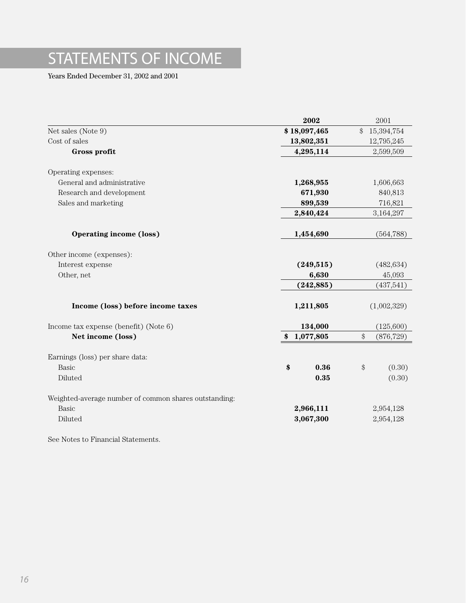# STATEMENTS OF INCOME

Years Ended December 31, 2002 and 2001

|                                                       | 2002            | 2001                                                        |
|-------------------------------------------------------|-----------------|-------------------------------------------------------------|
| Net sales (Note 9)                                    | \$18,097,465    | $\mathcal{L}$<br>15,394,754                                 |
| Cost of sales                                         | 13,802,351      | 12,795,245                                                  |
| Gross profit                                          | 4,295,114       | 2,599,509                                                   |
| Operating expenses:                                   |                 |                                                             |
| General and administrative                            | 1,268,955       | 1,606,663                                                   |
| Research and development                              | 671,930         | 840,813                                                     |
| Sales and marketing                                   | 899,539         | 716,821                                                     |
|                                                       | 2,840,424       | 3,164,297                                                   |
| <b>Operating income (loss)</b>                        | 1,454,690       | (564, 788)                                                  |
| Other income (expenses):                              |                 |                                                             |
| Interest expense                                      | (249, 515)      | (482, 634)                                                  |
| Other, net                                            | 6,630           | 45,093                                                      |
|                                                       | (242, 885)      | (437,541)                                                   |
| Income (loss) before income taxes                     | 1,211,805       | (1,002,329)                                                 |
| Income tax expense (benefit) (Note 6)                 | 134,000         | (125,600)                                                   |
| Net income (loss)                                     | 1,077,805<br>\$ | $\, \, \raisebox{12pt}{$\scriptstyle \circ$}$<br>(876, 729) |
| Earnings (loss) per share data:                       |                 |                                                             |
| Basic                                                 | \$<br>0.36      | $\$\$<br>(0.30)                                             |
| Diluted                                               | 0.35            | (0.30)                                                      |
| Weighted-average number of common shares outstanding: |                 |                                                             |
| Basic                                                 | 2,966,111       | 2,954,128                                                   |
| Diluted                                               | 3,067,300       | 2,954,128                                                   |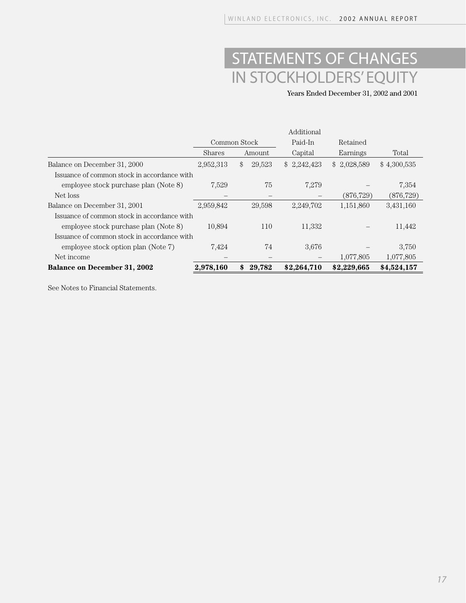# STATEMENTS OF CHANGES IN STOCKHOLDERS' EQUITY

Years Ended December 31, 2002 and 2001

|                                             | Additional   |              |             |             |             |
|---------------------------------------------|--------------|--------------|-------------|-------------|-------------|
|                                             | Common Stock |              | Paid-In     | Retained    |             |
|                                             | Shares       | Amount       | Capital     | Earnings    | Total       |
| Balance on December 31, 2000                | 2,952,313    | 29,523<br>\$ | \$2,242,423 | \$2,028,589 | \$4,300,535 |
| Issuance of common stock in accordance with |              |              |             |             |             |
| employee stock purchase plan (Note 8)       | 7,529        | 75           | 7,279       |             | 7,354       |
| Net loss                                    |              |              |             | (876, 729)  | (876, 729)  |
| Balance on December 31, 2001                | 2,959,842    | 29,598       | 2,249,702   | 1,151,860   | 3,431,160   |
| Issuance of common stock in accordance with |              |              |             |             |             |
| employee stock purchase plan (Note 8)       | 10,894       | 110          | 11,332      |             | 11,442      |
| Issuance of common stock in accordance with |              |              |             |             |             |
| employee stock option plan (Note 7)         | 7,424        | 74           | 3,676       |             | 3,750       |
| Net income                                  |              |              |             | 1,077,805   | 1,077,805   |
| <b>Balance on December 31, 2002</b>         | 2,978,160    | \$<br>29,782 | \$2,264,710 | \$2,229,665 | \$4,524,157 |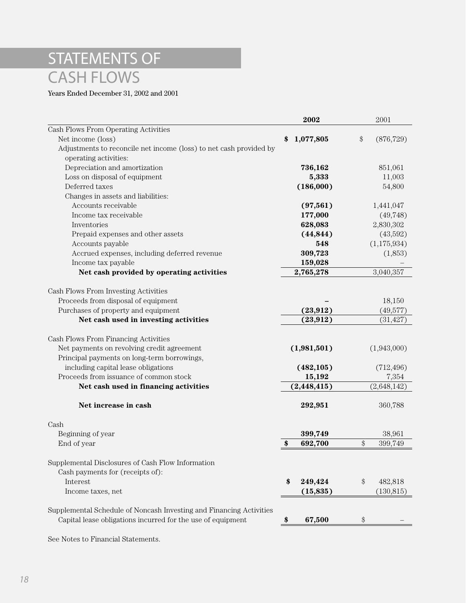# STATEMENTS OF CASH FLOWS

Years Ended December 31, 2002 and 2001

|                                                                     | 2002            | 2001                                                     |
|---------------------------------------------------------------------|-----------------|----------------------------------------------------------|
| Cash Flows From Operating Activities                                |                 |                                                          |
| Net income (loss)                                                   | 1,077,805<br>\$ | \$<br>(876, 729)                                         |
| Adjustments to reconcile net income (loss) to net cash provided by  |                 |                                                          |
| operating activities:                                               |                 |                                                          |
| Depreciation and amortization                                       | 736,162         | 851,061                                                  |
| Loss on disposal of equipment                                       | 5,333           | 11,003                                                   |
| Deferred taxes                                                      | (186,000)       | 54,800                                                   |
| Changes in assets and liabilities:                                  |                 |                                                          |
| Accounts receivable                                                 | (97, 561)       | 1,441,047                                                |
| Income tax receivable                                               | 177,000         | (49, 748)                                                |
| Inventories                                                         | 628,083         | 2,830,302                                                |
| Prepaid expenses and other assets                                   | (44, 844)       | (43,592)                                                 |
| Accounts payable                                                    | 548             | (1,175,934)                                              |
| Accrued expenses, including deferred revenue                        | 309,723         | (1,853)                                                  |
| Income tax payable                                                  | 159,028         |                                                          |
| Net cash provided by operating activities                           | 2,765,278       | 3,040,357                                                |
|                                                                     |                 |                                                          |
| Cash Flows From Investing Activities                                |                 |                                                          |
| Proceeds from disposal of equipment                                 |                 | 18,150                                                   |
| Purchases of property and equipment                                 | (23, 912)       | (49,577)                                                 |
| Net cash used in investing activities                               | (23, 912)       | (31, 427)                                                |
|                                                                     |                 |                                                          |
| Cash Flows From Financing Activities                                |                 |                                                          |
| Net payments on revolving credit agreement                          | (1,981,501)     | (1,943,000)                                              |
| Principal payments on long-term borrowings,                         |                 |                                                          |
| including capital lease obligations                                 | (482, 105)      | (712, 496)                                               |
| Proceeds from issuance of common stock                              | 15,192          | 7,354                                                    |
| Net cash used in financing activities                               | (2, 448, 415)   | (2,648,142)                                              |
|                                                                     |                 |                                                          |
| Net increase in cash                                                | 292,951         | 360,788                                                  |
|                                                                     |                 |                                                          |
| Cash                                                                |                 |                                                          |
| Beginning of year                                                   | 399,749         | 38,961                                                   |
| End of year                                                         | 692,700<br>\$   | \$<br>399,749                                            |
|                                                                     |                 |                                                          |
| Supplemental Disclosures of Cash Flow Information                   |                 |                                                          |
| Cash payments for (receipts of):                                    |                 |                                                          |
| Interest                                                            | 249,424<br>\$   | $\, \, \raisebox{-1.5pt}{\ensuremath{\circ}}$<br>482,818 |
| Income taxes, net                                                   | (15, 835)       | (130, 815)                                               |
|                                                                     |                 |                                                          |
| Supplemental Schedule of Noncash Investing and Financing Activities |                 |                                                          |
| Capital lease obligations incurred for the use of equipment         | 67,500<br>\$    | \$                                                       |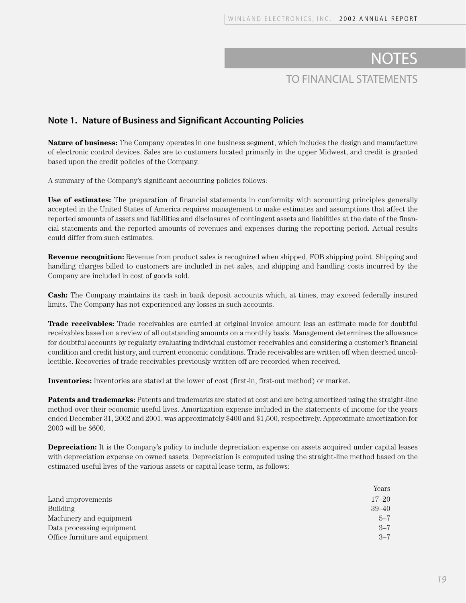#### **Note 1. Nature of Business and Significant Accounting Policies**

**Nature of business:** The Company operates in one business segment, which includes the design and manufacture of electronic control devices. Sales are to customers located primarily in the upper Midwest, and credit is granted based upon the credit policies of the Company.

A summary of the Company's significant accounting policies follows:

**Use of estimates:** The preparation of financial statements in conformity with accounting principles generally accepted in the United States of America requires management to make estimates and assumptions that affect the reported amounts of assets and liabilities and disclosures of contingent assets and liabilities at the date of the financial statements and the reported amounts of revenues and expenses during the reporting period. Actual results could differ from such estimates.

**Revenue recognition:** Revenue from product sales is recognized when shipped, FOB shipping point. Shipping and handling charges billed to customers are included in net sales, and shipping and handling costs incurred by the Company are included in cost of goods sold.

**Cash:** The Company maintains its cash in bank deposit accounts which, at times, may exceed federally insured limits. The Company has not experienced any losses in such accounts.

**Trade receivables:** Trade receivables are carried at original invoice amount less an estimate made for doubtful receivables based on a review of all outstanding amounts on a monthly basis. Management determines the allowance for doubtful accounts by regularly evaluating individual customer receivables and considering a customer's financial condition and credit history, and current economic conditions. Trade receivables are written off when deemed uncollectible. Recoveries of trade receivables previously written off are recorded when received.

**Inventories:** Inventories are stated at the lower of cost (first-in, first-out method) or market.

**Patents and trademarks:** Patents and trademarks are stated at cost and are being amortized using the straight-line method over their economic useful lives. Amortization expense included in the statements of income for the years ended December 31, 2002 and 2001, was approximately \$400 and \$1,500, respectively. Approximate amortization for 2003 will be \$600.

**Depreciation:** It is the Company's policy to include depreciation expense on assets acquired under capital leases with depreciation expense on owned assets. Depreciation is computed using the straight-line method based on the estimated useful lives of the various assets or capital lease term, as follows:

|                                | Years     |
|--------------------------------|-----------|
| Land improvements              | $17 - 20$ |
| <b>Building</b>                | $39 - 40$ |
| Machinery and equipment        | $5 - 7$   |
| Data processing equipment      | $3 - 7$   |
| Office furniture and equipment | $3 - 7$   |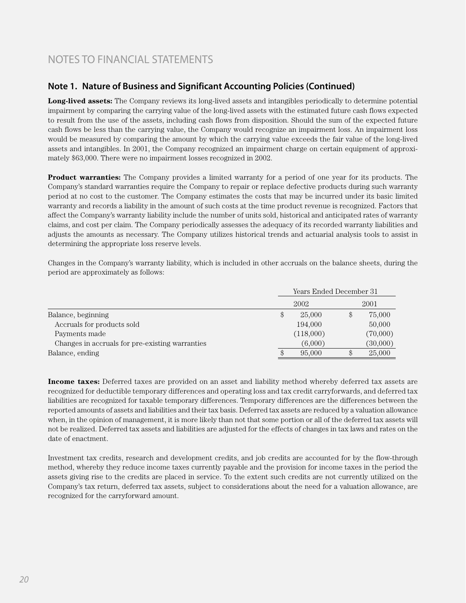### **Note 1. Nature of Business and Significant Accounting Policies (Continued)**

**Long-lived assets:** The Company reviews its long-lived assets and intangibles periodically to determine potential impairment by comparing the carrying value of the long-lived assets with the estimated future cash flows expected to result from the use of the assets, including cash flows from disposition. Should the sum of the expected future cash flows be less than the carrying value, the Company would recognize an impairment loss. An impairment loss would be measured by comparing the amount by which the carrying value exceeds the fair value of the long-lived assets and intangibles. In 2001, the Company recognized an impairment charge on certain equipment of approximately \$63,000. There were no impairment losses recognized in 2002.

**Product warranties:** The Company provides a limited warranty for a period of one year for its products. The Company's standard warranties require the Company to repair or replace defective products during such warranty period at no cost to the customer. The Company estimates the costs that may be incurred under its basic limited warranty and records a liability in the amount of such costs at the time product revenue is recognized. Factors that affect the Company's warranty liability include the number of units sold, historical and anticipated rates of warranty claims, and cost per claim. The Company periodically assesses the adequacy of its recorded warranty liabilities and adjusts the amounts as necessary. The Company utilizes historical trends and actuarial analysis tools to assist in determining the appropriate loss reserve levels.

Changes in the Company's warranty liability, which is included in other accruals on the balance sheets, during the period are approximately as follows:

|                                                 | Years Ended December 31 |           |  |          |
|-------------------------------------------------|-------------------------|-----------|--|----------|
|                                                 |                         | 2002      |  | 2001     |
| Balance, beginning                              | \$                      | 25,000    |  | 75,000   |
| Accruals for products sold                      |                         | 194,000   |  | 50,000   |
| Payments made                                   |                         | (118,000) |  | (70,000) |
| Changes in accruals for pre-existing warranties |                         | (6,000)   |  | (30,000) |
| Balance, ending                                 | \$                      | 95,000    |  | 25,000   |

**Income taxes:** Deferred taxes are provided on an asset and liability method whereby deferred tax assets are recognized for deductible temporary differences and operating loss and tax credit carryforwards, and deferred tax liabilities are recognized for taxable temporary differences. Temporary differences are the differences between the reported amounts of assets and liabilities and their tax basis. Deferred tax assets are reduced by a valuation allowance when, in the opinion of management, it is more likely than not that some portion or all of the deferred tax assets will not be realized. Deferred tax assets and liabilities are adjusted for the effects of changes in tax laws and rates on the date of enactment.

Investment tax credits, research and development credits, and job credits are accounted for by the flow-through method, whereby they reduce income taxes currently payable and the provision for income taxes in the period the assets giving rise to the credits are placed in service. To the extent such credits are not currently utilized on the Company's tax return, deferred tax assets, subject to considerations about the need for a valuation allowance, are recognized for the carryforward amount.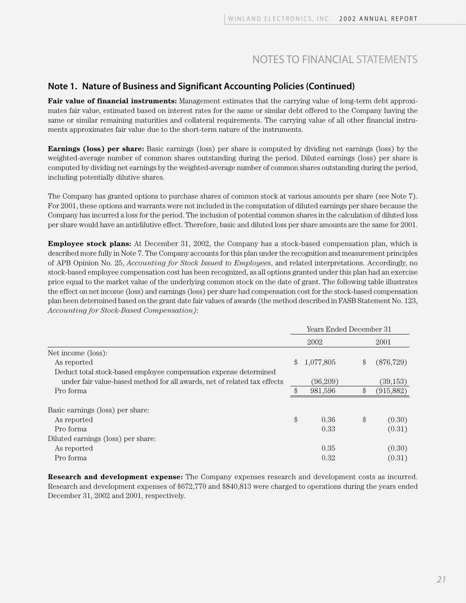#### **Note 1. Nature of Business and Significant Accounting Policies (Continued)**

**Fair value of financial instruments:** Management estimates that the carrying value of long-term debt approximates fair value, estimated based on interest rates for the same or similar debt offered to the Company having the same or similar remaining maturities and collateral requirements. The carrying value of all other financial instruments approximates fair value due to the short-term nature of the instruments.

**Earnings (loss) per share:** Basic earnings (loss) per share is computed by dividing net earnings (loss) by the weighted-average number of common shares outstanding during the period. Diluted earnings (loss) per share is computed by dividing net earnings by the weighted-average number of common shares outstanding during the period, including potentially dilutive shares.

The Company has granted options to purchase shares of common stock at various amounts per share (see Note 7). For 2001, these options and warrants were not included in the computation of diluted earnings per share because the Company has incurred a loss for the period. The inclusion of potential common shares in the calculation of diluted loss per share would have an antidilutive effect. Therefore, basic and diluted loss per share amounts are the same for 2001.

**Employee stock plans:** At December 31, 2002, the Company has a stock-based compensation plan, which is described more fully in Note 7. The Company accounts for this plan under the recognition and measurement principles of APB Opinion No. 25, *Accounting for Stock Issued to Employees*, and related interpretations. Accordingly, no stock-based employee compensation cost has been recognized, as all options granted under this plan had an exercise price equal to the market value of the underlying common stock on the date of grant. The following table illustrates the effect on net income (loss) and earnings (loss) per share had compensation cost for the stock-based compensation plan been determined based on the grant date fair values of awards (the method described in FASB Statement No. 123, *Accounting for Stock-Based Compensation)*:

|                                                                          | Years Ended December 31 |           |    |            |
|--------------------------------------------------------------------------|-------------------------|-----------|----|------------|
|                                                                          |                         | 2002      |    | 2001       |
| Net income (loss):                                                       |                         |           |    |            |
| As reported                                                              | $\mathcal{S}$           | 1,077,805 | \$ | (876, 729) |
| Deduct total stock-based employee compensation expense determined        |                         |           |    |            |
| under fair value-based method for all awards, net of related tax effects |                         | (96,209)  |    | (39, 153)  |
| Pro forma                                                                | \$                      | 981,596   | \$ | (915,882)  |
| Basic earnings (loss) per share:                                         |                         |           |    |            |
| As reported                                                              | \$                      | 0.36      | \$ | (0.30)     |
| Pro forma                                                                |                         | 0.33      |    | (0.31)     |
| Diluted earnings (loss) per share:                                       |                         |           |    |            |
| As reported                                                              |                         | 0.35      |    | (0.30)     |
| Pro forma                                                                |                         | 0.32      |    | (0.31)     |

**Research and development expense:** The Company expenses research and development costs as incurred. Research and development expenses of \$672,770 and \$840,813 were charged to operations during the years ended December 31, 2002 and 2001, respectively.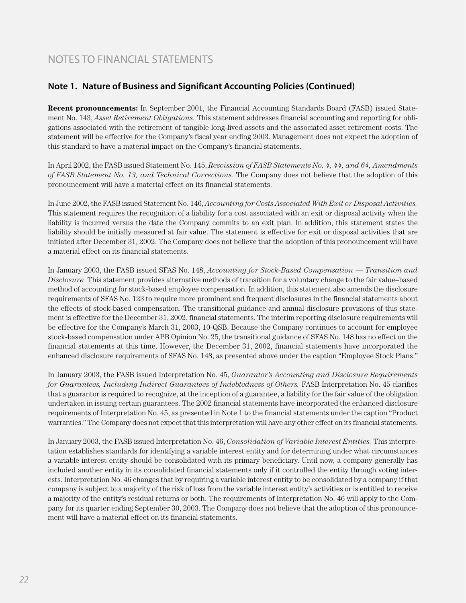### **Note 1. Nature of Business and Significant Accounting Policies (Continued)**

**Recent pronouncements:** In September 2001, the Financial Accounting Standards Board (FASB) issued Statement No. 143, *Asset Retirement Obligations.* This statement addresses financial accounting and reporting for obligations associated with the retirement of tangible long-lived assets and the associated asset retirement costs. The statement will be effective for the Company's fiscal year ending 2003. Management does not expect the adoption of this standard to have a material impact on the Company's financial statements.

In April 2002, the FASB issued Statement No. 145, *Rescission of FASB Statements No. 4, 44, and 64, Amendments of FASB Statement No. 13, and Technical Corrections*. The Company does not believe that the adoption of this pronouncement will have a material effect on its financial statements.

In June 2002, the FASB issued Statement No. 146, *Accounting for Costs Associated With Exit or Disposal Activities.* This statement requires the recognition of a liability for a cost associated with an exit or disposal activity when the liability is incurred versus the date the Company commits to an exit plan. In addition, this statement states the liability should be initially measured at fair value. The statement is effective for exit or disposal activities that are initiated after December 31, 2002. The Company does not believe that the adoption of this pronouncement will have a material effect on its financial statements.

In January 2003, the FASB issued SFAS No. 148, *Accounting for Stock-Based Compensation — Transition and Disclosure.* This statement provides alternative methods of transition for a voluntary change to the fair value–based method of accounting for stock-based employee compensation. In addition, this statement also amends the disclosure requirements of SFAS No. 123 to require more prominent and frequent disclosures in the financial statements about the effects of stock-based compensation. The transitional guidance and annual disclosure provisions of this statement is effective for the December 31, 2002, financial statements. The interim reporting disclosure requirements will be effective for the Company's March 31, 2003, 10-QSB. Because the Company continues to account for employee stock-based compensation under APB Opinion No. 25, the transitional guidance of SFAS No. 148 has no effect on the financial statements at this time. However, the December 31, 2002, financial statements have incorporated the enhanced disclosure requirements of SFAS No. 148, as presented above under the caption "Employee Stock Plans."

In January 2003, the FASB issued Interpretation No. 45, *Guarantor's Accounting and Disclosure Requirements for Guarantees, Including Indirect Guarantees of Indebtedness of Others.* FASB Interpretation No. 45 clarifies that a guarantor is required to recognize, at the inception of a guarantee, a liability for the fair value of the obligation undertaken in issuing certain guarantees. The 2002 financial statements have incorporated the enhanced disclosure requirements of Interpretation No. 45, as presented in Note 1 to the financial statements under the caption "Product warranties." The Company does not expect that this interpretation will have any other effect on its financial statements.

In January 2003, the FASB issued Interpretation No. 46, *Consolidation of Variable Interest Entities.* This interpretation establishes standards for identifying a variable interest entity and for determining under what circumstances a variable interest entity should be consolidated with its primary beneficiary. Until now, a company generally has included another entity in its consolidated financial statements only if it controlled the entity through voting interests. Interpretation No. 46 changes that by requiring a variable interest entity to be consolidated by a company if that company is subject to a majority of the risk of loss from the variable interest entity's activities or is entitled to receive a majority of the entity's residual returns or both. The requirements of Interpretation No. 46 will apply to the Company for its quarter ending September 30, 2003. The Company does not believe that the adoption of this pronouncement will have a material effect on its financial statements.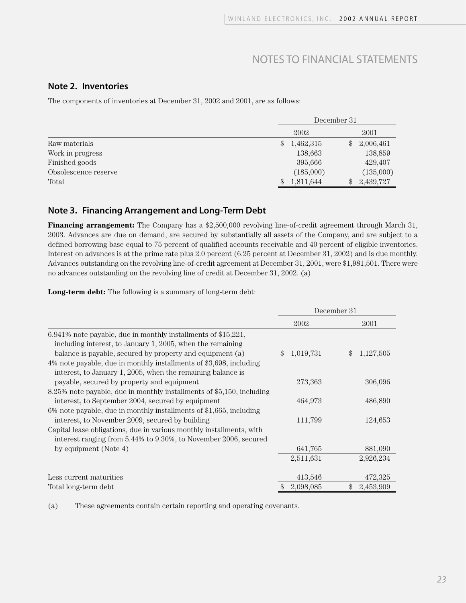#### **Note 2. Inventories**

The components of inventories at December 31, 2002 and 2001, are as follows:

|                      | December 31 |           |     |           |
|----------------------|-------------|-----------|-----|-----------|
|                      |             | 2002      |     | 2001      |
| Raw materials        | \$          | 1,462,315 | \$  | 2,006,461 |
| Work in progress     |             | 138,663   |     | 138,859   |
| Finished goods       |             | 395,666   |     | 429,407   |
| Obsolescence reserve |             | (185,000) |     | (135,000) |
| Total                |             | 1,811,644 | \$. | 2,439,727 |

#### **Note 3. Financing Arrangement and Long-Term Debt**

**Financing arrangement:** The Company has a \$2,500,000 revolving line-of-credit agreement through March 31, 2003. Advances are due on demand, are secured by substantially all assets of the Company, and are subject to a defined borrowing base equal to 75 percent of qualified accounts receivable and 40 percent of eligible inventories. Interest on advances is at the prime rate plus 2.0 percent (6.25 percent at December 31, 2002) and is due monthly. Advances outstanding on the revolving line-of-credit agreement at December 31, 2001, were \$1,981,501. There were no advances outstanding on the revolving line of credit at December 31, 2002. (a)

**Long-term debt:** The following is a summary of long-term debt:

|                                                                       | December 31     |                 |  |
|-----------------------------------------------------------------------|-----------------|-----------------|--|
|                                                                       | 2002            | 2001            |  |
| $6.941\%$ note payable, due in monthly installments of \$15,221,      |                 |                 |  |
| including interest, to January 1, 2005, when the remaining            |                 |                 |  |
| balance is payable, secured by property and equipment (a)             | 1,019,731<br>\$ | 1,127,505<br>\$ |  |
| 4% note payable, due in monthly installments of \$3,698, including    |                 |                 |  |
| interest, to January 1, 2005, when the remaining balance is           |                 |                 |  |
| payable, secured by property and equipment                            | 273,363         | 306,096         |  |
| 8.25% note payable, due in monthly installments of \$5,150, including |                 |                 |  |
| interest, to September 2004, secured by equipment                     | 464,973         | 486,890         |  |
| 6% note payable, due in monthly installments of \$1,665, including    |                 |                 |  |
| interest, to November 2009, secured by building                       | 111,799         | 124,653         |  |
| Capital lease obligations, due in various monthly installments, with  |                 |                 |  |
| interest ranging from 5.44% to 9.30%, to November 2006, secured       |                 |                 |  |
| by equipment (Note 4)                                                 | 641,765         | 881,090         |  |
|                                                                       | 2,511,631       | 2,926,234       |  |
| Less current maturities                                               | 413,546         | 472,325         |  |
| Total long-term debt                                                  | \$<br>2,098,085 | 2,453,909<br>\$ |  |

(a) These agreements contain certain reporting and operating covenants.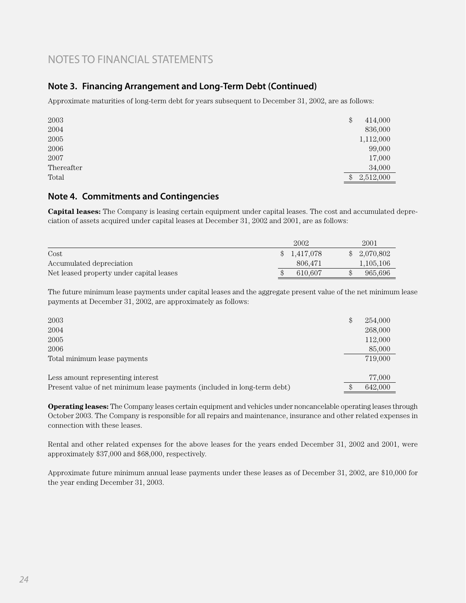### **Note 3. Financing Arrangement and Long-Term Debt (Continued)**

Approximate maturities of long-term debt for years subsequent to December 31, 2002, are as follows:

| 2003       | \$            | 414,000   |
|------------|---------------|-----------|
| 2004       |               | 836,000   |
| 2005       |               | 1,112,000 |
| 2006       |               | 99,000    |
| 2007       |               | 17,000    |
| Thereafter |               | 34,000    |
| Total      | $\mathcal{S}$ | 2,512,000 |

#### **Note 4. Commitments and Contingencies**

**Capital leases:** The Company is leasing certain equipment under capital leases. The cost and accumulated depreciation of assets acquired under capital leases at December 31, 2002 and 2001, are as follows:

|                                          | 2002            |         | 2001        |
|------------------------------------------|-----------------|---------|-------------|
| Cost                                     | 1.417.078<br>\$ |         | \$2,070,802 |
| Accumulated depreciation                 |                 | 806.471 | 1,105,106   |
| Net leased property under capital leases |                 | 610.607 | 965.696     |

The future minimum lease payments under capital leases and the aggregate present value of the net minimum lease payments at December 31, 2002, are approximately as follows:

| 2003<br>2004<br>2005<br>2006<br>Total minimum lease payments             | \$<br>254,000<br>268,000<br>112,000<br>85,000<br>719,000 |
|--------------------------------------------------------------------------|----------------------------------------------------------|
| Less amount representing interest                                        | 77,000                                                   |
| Present value of net minimum lease payments (included in long-term debt) | 642.000                                                  |

**Operating leases:** The Company leases certain equipment and vehicles under noncancelable operating leases through October 2003. The Company is responsible for all repairs and maintenance, insurance and other related expenses in connection with these leases.

Rental and other related expenses for the above leases for the years ended December 31, 2002 and 2001, were approximately \$37,000 and \$68,000, respectively.

Approximate future minimum annual lease payments under these leases as of December 31, 2002, are \$10,000 for the year ending December 31, 2003.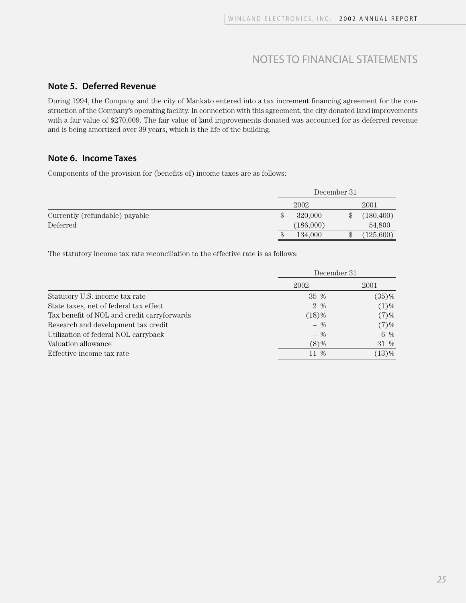#### **Note 5. Deferred Revenue**

During 1994, the Company and the city of Mankato entered into a tax increment financing agreement for the construction of the Company's operating facility. In connection with this agreement, the city donated land improvements with a fair value of \$270,009. The fair value of land improvements donated was accounted for as deferred revenue and is being amortized over 39 years, which is the life of the building.

#### **Note 6. Income Taxes**

Components of the provision for (benefits of) income taxes are as follows:

|                                | December 31   |  |            |
|--------------------------------|---------------|--|------------|
|                                | 2002          |  | 2001       |
| Currently (refundable) payable | \$<br>320,000 |  | (180, 400) |
| Deferred                       | (186,000)     |  | 54,800     |
|                                | \$<br>134,000 |  | (125,600)  |

The statutory income tax rate reconciliation to the effective rate is as follows:

|                                             | December 31 |          |  |
|---------------------------------------------|-------------|----------|--|
|                                             | 2002        | 2001     |  |
| Statutory U.S. income tax rate              | 35 %        | $(35)$ % |  |
| State taxes, net of federal tax effect      | 2 %         | $(1)$ %  |  |
| Tax benefit of NOL and credit carryforwards | $(18)$ %    | $(7)$ %  |  |
| Research and development tax credit         | $-$ %       | $(7)$ %  |  |
| Utilization of federal NOL carryback        | $-$ %       | 6 %      |  |
| Valuation allowance                         | $(8)$ %     | 31 %     |  |
| Effective income tax rate                   | 11 %        | $(13)$ % |  |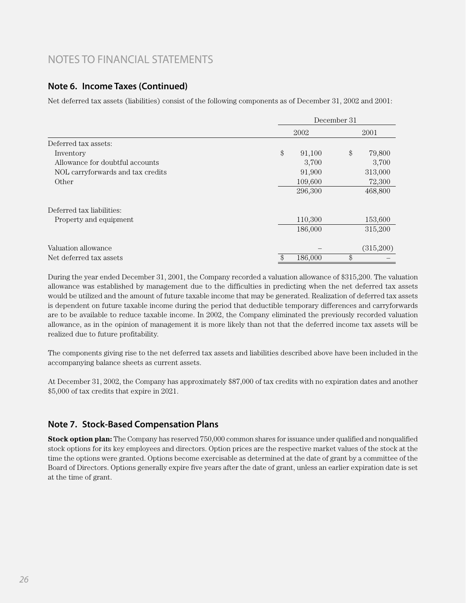#### **Note 6. Income Taxes (Continued)**

Net deferred tax assets (liabilities) consist of the following components as of December 31, 2002 and 2001:

|                                   |        | December 31 |       |           |  |
|-----------------------------------|--------|-------------|-------|-----------|--|
|                                   |        | 2002        |       | 2001      |  |
| Deferred tax assets:              |        |             |       |           |  |
| Inventory                         | $\$\,$ | 91,100      | $\$\$ | 79,800    |  |
| Allowance for doubtful accounts   |        | 3,700       |       | 3,700     |  |
| NOL carryforwards and tax credits |        | 91,900      |       | 313,000   |  |
| Other                             |        | 109,600     |       | 72,300    |  |
|                                   |        | 296,300     |       | 468,800   |  |
| Deferred tax liabilities:         |        |             |       |           |  |
| Property and equipment            |        | 110,300     |       | 153,600   |  |
|                                   |        | 186,000     |       | 315,200   |  |
| Valuation allowance               |        |             |       | (315,200) |  |
| Net deferred tax assets           | \$     | 186,000     | \$    |           |  |

During the year ended December 31, 2001, the Company recorded a valuation allowance of \$315,200. The valuation allowance was established by management due to the difficulties in predicting when the net deferred tax assets would be utilized and the amount of future taxable income that may be generated. Realization of deferred tax assets is dependent on future taxable income during the period that deductible temporary differences and carryforwards are to be available to reduce taxable income. In 2002, the Company eliminated the previously recorded valuation allowance, as in the opinion of management it is more likely than not that the deferred income tax assets will be realized due to future profitability.

The components giving rise to the net deferred tax assets and liabilities described above have been included in the accompanying balance sheets as current assets.

At December 31, 2002, the Company has approximately \$87,000 of tax credits with no expiration dates and another \$5,000 of tax credits that expire in 2021.

#### **Note 7. Stock-Based Compensation Plans**

**Stock option plan:** The Company has reserved 750,000 common shares for issuance under qualified and nonqualified stock options for its key employees and directors. Option prices are the respective market values of the stock at the time the options were granted. Options become exercisable as determined at the date of grant by a committee of the Board of Directors. Options generally expire five years after the date of grant, unless an earlier expiration date is set at the time of grant.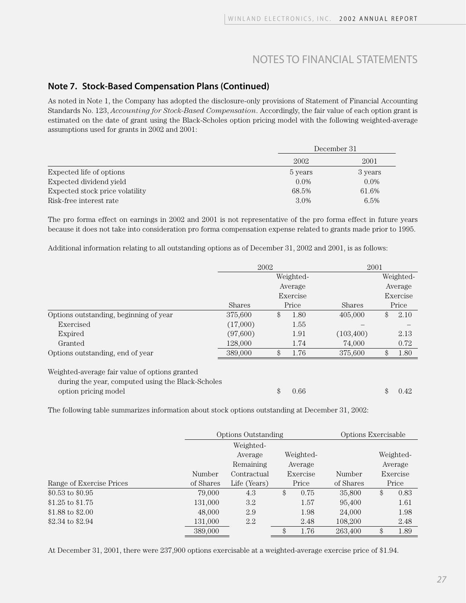#### **Note 7. Stock-Based Compensation Plans (Continued)**

As noted in Note 1, the Company has adopted the disclosure-only provisions of Statement of Financial Accounting Standards No. 123, *Accounting for Stock-Based Compensation*. Accordingly, the fair value of each option grant is estimated on the date of grant using the Black-Scholes option pricing model with the following weighted-average assumptions used for grants in 2002 and 2001:

|                                 | December 31 |         |  |
|---------------------------------|-------------|---------|--|
|                                 | 2002        | 2001    |  |
| Expected life of options        | 5 years     | 3 years |  |
| Expected dividend yield         | $0.0\%$     | $0.0\%$ |  |
| Expected stock price volatility | 68.5%       | 61.6%   |  |
| Risk-free interest rate         | 3.0%        | $6.5\%$ |  |

The pro forma effect on earnings in 2002 and 2001 is not representative of the pro forma effect in future years because it does not take into consideration pro forma compensation expense related to grants made prior to 1995.

Additional information relating to all outstanding options as of December 31, 2002 and 2001, is as follows:

|                                                                                                                             | 2002          |    |           |            | 2001 |           |  |
|-----------------------------------------------------------------------------------------------------------------------------|---------------|----|-----------|------------|------|-----------|--|
|                                                                                                                             |               |    | Weighted- |            |      | Weighted- |  |
|                                                                                                                             |               |    | Average   |            |      | Average   |  |
|                                                                                                                             |               |    | Exercise  |            |      | Exercise  |  |
|                                                                                                                             | <b>Shares</b> |    | Price     | Shares     |      | Price     |  |
| Options outstanding, beginning of year                                                                                      | 375,600       | \$ | 1.80      | 405,000    | \$   | 2.10      |  |
| Exercised                                                                                                                   | (17,000)      |    | 1.55      |            |      |           |  |
| Expired                                                                                                                     | (97,600)      |    | 1.91      | (103, 400) |      | 2.13      |  |
| Granted                                                                                                                     | 128,000       |    | 1.74      | 74,000     |      | 0.72      |  |
| Options outstanding, end of year                                                                                            | 389,000       | \$ | 1.76      | 375,600    | \$   | 1.80      |  |
| Weighted-average fair value of options granted<br>during the year, computed using the Black-Scholes<br>option pricing model |               | \$ | 0.66      |            | \$   | 0.42      |  |

The following table summarizes information about stock options outstanding at December 31, 2002:

|                          |           | <b>Options Outstanding</b> |    |           | Options Exercisable |    |           |
|--------------------------|-----------|----------------------------|----|-----------|---------------------|----|-----------|
|                          |           | Weighted-                  |    |           |                     |    |           |
|                          |           | Average                    |    | Weighted- |                     |    | Weighted- |
|                          |           | Remaining                  |    | Average   |                     |    | Average   |
|                          | Number    | Contractual                |    | Exercise  | Number              |    | Exercise  |
| Range of Exercise Prices | of Shares | Life (Years)               |    | Price     | of Shares           |    | Price     |
| $$0.53$$ to $$0.95$      | 79,000    | 4.3                        | \$ | 0.75      | 35,800              | \$ | 0.83      |
| \$1.25 to $$1.75$        | 131,000   | 3.2                        |    | 1.57      | 95,400              |    | 1.61      |
| \$1.88 to \$2.00         | 48,000    | 2.9                        |    | 1.98      | 24,000              |    | 1.98      |
| \$2.34 to \$2.94         | 131,000   | 2.2                        |    | 2.48      | 108,200             |    | 2.48      |
|                          | 389,000   |                            | \$ | 1.76      | 263.400             | \$ | 1.89      |

At December 31, 2001, there were 237,900 options exercisable at a weighted-average exercise price of \$1.94.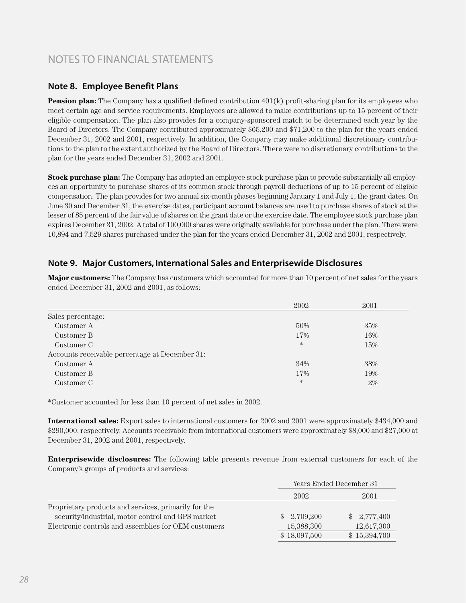#### **Note 8. Employee Benefit Plans**

**Pension plan:** The Company has a qualified defined contribution 401(k) profit-sharing plan for its employees who meet certain age and service requirements. Employees are allowed to make contributions up to 15 percent of their eligible compensation. The plan also provides for a company-sponsored match to be determined each year by the Board of Directors. The Company contributed approximately \$65,200 and \$71,200 to the plan for the years ended December 31, 2002 and 2001, respectively. In addition, the Company may make additional discretionary contributions to the plan to the extent authorized by the Board of Directors. There were no discretionary contributions to the plan for the years ended December 31, 2002 and 2001.

**Stock purchase plan:** The Company has adopted an employee stock purchase plan to provide substantially all employees an opportunity to purchase shares of its common stock through payroll deductions of up to 15 percent of eligible compensation. The plan provides for two annual six-month phases beginning January 1 and July 1, the grant dates. On June 30 and December 31, the exercise dates, participant account balances are used to purchase shares of stock at the lesser of 85 percent of the fair value of shares on the grant date or the exercise date. The employee stock purchase plan expires December 31, 2002. A total of 100,000 shares were originally available for purchase under the plan. There were 10,894 and 7,529 shares purchased under the plan for the years ended December 31, 2002 and 2001, respectively.

### **Note 9. Major Customers, International Sales and Enterprisewide Disclosures**

**Major customers:** The Company has customers which accounted for more than 10 percent of net sales for the years ended December 31, 2002 and 2001, as follows:

|                                                | 2002   | 2001 |
|------------------------------------------------|--------|------|
| Sales percentage:                              |        |      |
| Customer A                                     | 50%    | 35%  |
| Customer B                                     | 17%    | 16%  |
| Customer C                                     | $\ast$ | 15%  |
| Accounts receivable percentage at December 31: |        |      |
| Customer A                                     | 34%    | 38%  |
| Customer B                                     | 17%    | 19%  |
| Customer C                                     | $\ast$ | 2%   |

\*Customer accounted for less than 10 percent of net sales in 2002.

**International sales:** Export sales to international customers for 2002 and 2001 were approximately \$434,000 and \$290,000, respectively. Accounts receivable from international customers were approximately \$8,000 and \$27,000 at December 31, 2002 and 2001, respectively.

**Enterprisewide disclosures:** The following table presents revenue from external customers for each of the Company's groups of products and services:

|                                                      |                           | Years Ended December 31 |  |  |
|------------------------------------------------------|---------------------------|-------------------------|--|--|
|                                                      | 2002                      | 2001                    |  |  |
| Proprietary products and services, primarily for the |                           |                         |  |  |
| security/industrial, motor control and GPS market    | 2,709,200<br><sup>S</sup> | \$2,777,400             |  |  |
| Electronic controls and assemblies for OEM customers | 15,388,300                | 12,617,300              |  |  |
|                                                      | \$18,097,500              | \$15,394,700            |  |  |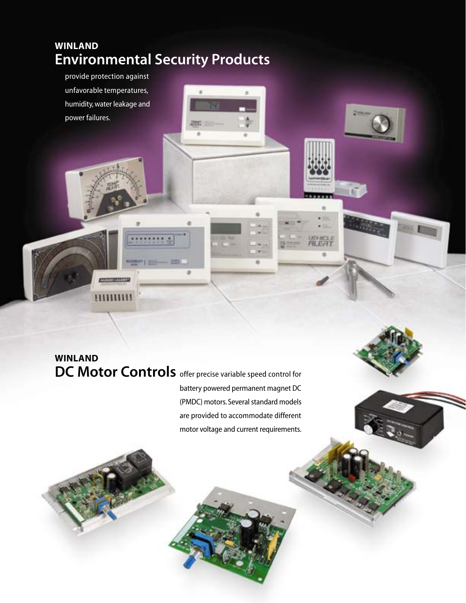## **WINLAND Environmental Security Products**

provide protection against unfavorable temperatures, humidity, water leakage and power failures.

## **WINLAND DC Motor Controls** offer precise variable speed control for

battery powered permanent magnet DC (PMDC) motors. Several standard models are provided to accommodate different motor voltage and current requirements. Ŧ

ä

**UEHICLE**